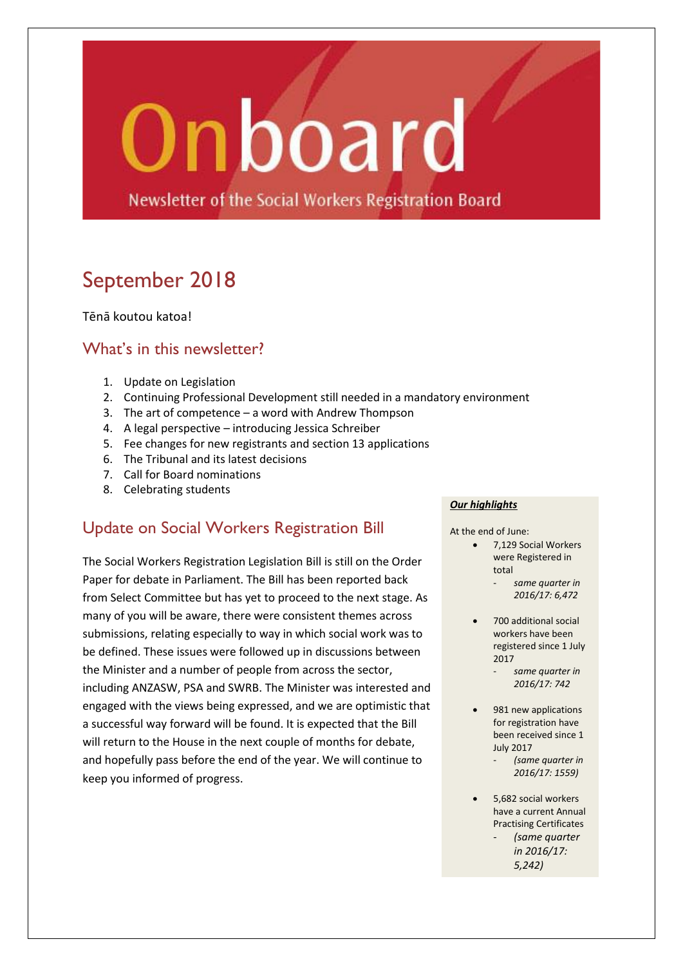# Onboard

Newsletter of the Social Workers Registration Board

## September 2018

Tēnā koutou katoa!

### What's in this newsletter?

- 1. Update on Legislation
- 2. Continuing Professional Development still needed in a mandatory environment
- 3. The art of competence a word with Andrew Thompson
- 4. A legal perspective introducing Jessica Schreiber
- 5. Fee changes for new registrants and section 13 applications
- 6. The Tribunal and its latest decisions
- 7. Call for Board nominations
- 8. Celebrating students

## Update on Social Workers Registration Bill

The Social Workers Registration Legislation Bill is still on the Order Paper for debate in Parliament. The Bill has been reported back from Select Committee but has yet to proceed to the next stage. As many of you will be aware, there were consistent themes across submissions, relating especially to way in which social work was to be defined. These issues were followed up in discussions between the Minister and a number of people from across the sector, including ANZASW, PSA and SWRB. The Minister was interested and engaged with the views being expressed, and we are optimistic that a successful way forward will be found. It is expected that the Bill will return to the House in the next couple of months for debate, and hopefully pass before the end of the year. We will continue to keep you informed of progress.

#### *Our highlights*

At the end of June:

- 7,129 Social Workers were Registered in total
	- *same quarter in 2016/17: 6,472*
- 700 additional social workers have been registered since 1 July 2017
	- *same quarter in 2016/17: 742*
- 981 new applications for registration have been received since 1 July 2017
	- *(same quarter in 2016/17: 1559)*
- 5,682 social workers have a current Annual Practising Certificates
	- *(same quarter in 2016/17: 5,242)*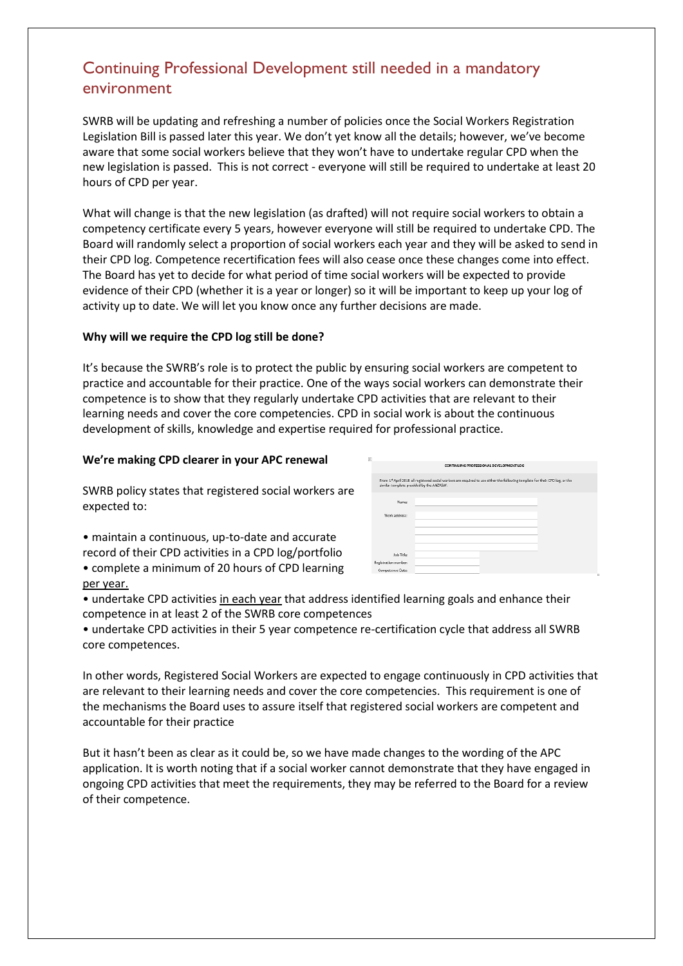## Continuing Professional Development still needed in a mandatory environment

SWRB will be updating and refreshing a number of policies once the Social Workers Registration Legislation Bill is passed later this year. We don't yet know all the details; however, we've become aware that some social workers believe that they won't have to undertake regular CPD when the new legislation is passed. This is not correct - everyone will still be required to undertake at least 20 hours of CPD per year.

What will change is that the new legislation (as drafted) will not require social workers to obtain a competency certificate every 5 years, however everyone will still be required to undertake CPD. The Board will randomly select a proportion of social workers each year and they will be asked to send in their CPD log. Competence recertification fees will also cease once these changes come into effect. The Board has yet to decide for what period of time social workers will be expected to provide evidence of their CPD (whether it is a year or longer) so it will be important to keep up your log of activity up to date. We will let you know once any further decisions are made.

#### **Why will we require the CPD log still be done?**

It's because the SWRB's role is to protect the public by ensuring social workers are competent to practice and accountable for their practice. One of the ways social workers can demonstrate their competence is to show that they regularly undertake CPD activities that are relevant to their learning needs and cover the core competencies. CPD in social work is about the continuous development of skills, knowledge and expertise required for professional practice.

#### **We're making CPD clearer in your APC renewal**

SWRB policy states that registered social workers are expected to:

• maintain a continuous, up-to-date and accurate record of their CPD activities in a CPD log/portfolio • complete a minimum of 20 hours of CPD learning

per year.

|                                          | CONTINUING PROFESSIONAL DEVELOPMENT LOG                                                                                       |
|------------------------------------------|-------------------------------------------------------------------------------------------------------------------------------|
| similar template provided by the ANZASW. | From 1st April 2018 all registered social workers are required to use either the following template for their CPD log, or the |
| Name:                                    |                                                                                                                               |
| Work address:                            |                                                                                                                               |
|                                          |                                                                                                                               |
|                                          |                                                                                                                               |
| Job Title:                               |                                                                                                                               |
| Registration number:                     |                                                                                                                               |
| Competence Date:                         |                                                                                                                               |

• undertake CPD activities in each year that address identified learning goals and enhance their competence in at least 2 of the SWRB core competences

• undertake CPD activities in their 5 year competence re-certification cycle that address all SWRB core competences.

In other words, Registered Social Workers are expected to engage continuously in CPD activities that are relevant to their learning needs and cover the core competencies. This requirement is one of the mechanisms the Board uses to assure itself that registered social workers are competent and accountable for their practice

But it hasn't been as clear as it could be, so we have made changes to the wording of the APC application. It is worth noting that if a social worker cannot demonstrate that they have engaged in ongoing CPD activities that meet the requirements, they may be referred to the Board for a review of their competence.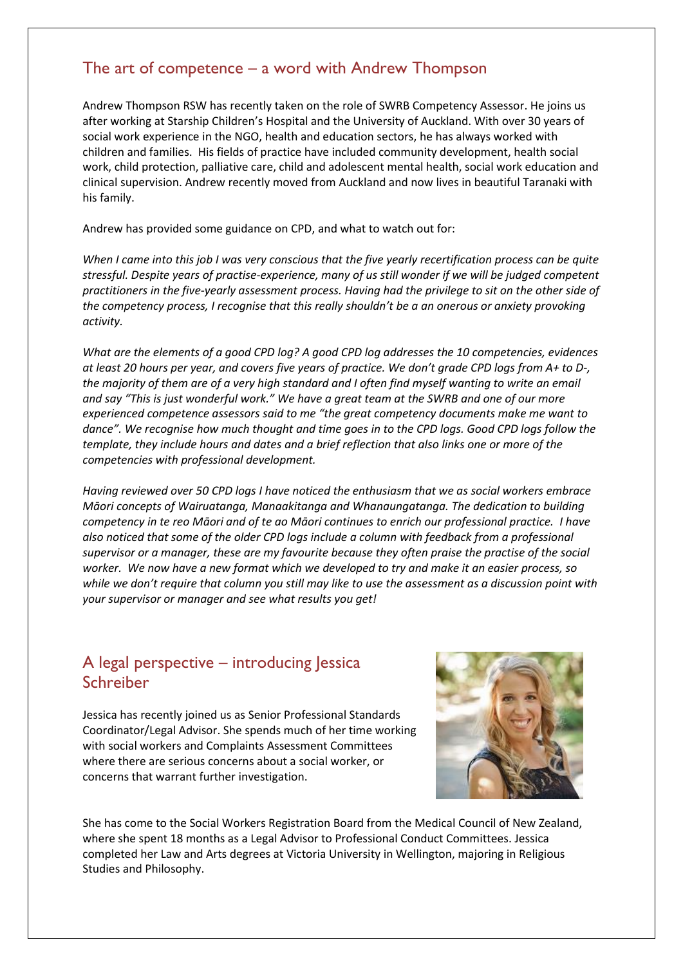#### The art of competence – a word with Andrew Thompson

Andrew Thompson RSW has recently taken on the role of SWRB Competency Assessor. He joins us after working at Starship Children's Hospital and the University of Auckland. With over 30 years of social work experience in the NGO, health and education sectors, he has always worked with children and families. His fields of practice have included community development, health social work, child protection, palliative care, child and adolescent mental health, social work education and clinical supervision. Andrew recently moved from Auckland and now lives in beautiful Taranaki with his family.

Andrew has provided some guidance on CPD, and what to watch out for:

*When I came into this job I was very conscious that the five yearly recertification process can be quite stressful. Despite years of practise-experience, many of us still wonder if we will be judged competent practitioners in the five-yearly assessment process. Having had the privilege to sit on the other side of the competency process, I recognise that this really shouldn't be a an onerous or anxiety provoking activity.*

*What are the elements of a good CPD log? A good CPD log addresses the 10 competencies, evidences at least 20 hours per year, and covers five years of practice. We don't grade CPD logs from A+ to D-, the majority of them are of a very high standard and I often find myself wanting to write an email and say "This is just wonderful work." We have a great team at the SWRB and one of our more experienced competence assessors said to me "the great competency documents make me want to dance". We recognise how much thought and time goes in to the CPD logs. Good CPD logs follow the template, they include hours and dates and a brief reflection that also links one or more of the competencies with professional development.* 

*Having reviewed over 50 CPD logs I have noticed the enthusiasm that we as social workers embrace Māori concepts of Wairuatanga, Manaakitanga and Whanaungatanga. The dedication to building competency in te reo Māori and of te ao Māori continues to enrich our professional practice. I have also noticed that some of the older CPD logs include a column with feedback from a professional supervisor or a manager, these are my favourite because they often praise the practise of the social worker. We now have a new format which we developed to try and make it an easier process, so while we don't require that column you still may like to use the assessment as a discussion point with your supervisor or manager and see what results you get!*

#### A legal perspective – introducing Jessica Schreiber

Jessica has recently joined us as Senior Professional Standards Coordinator/Legal Advisor. She spends much of her time working with social workers and Complaints Assessment Committees where there are serious concerns about a social worker, or concerns that warrant further investigation.



She has come to the Social Workers Registration Board from the Medical Council of New Zealand, where she spent 18 months as a Legal Advisor to Professional Conduct Committees. Jessica completed her Law and Arts degrees at Victoria University in Wellington, majoring in Religious Studies and Philosophy.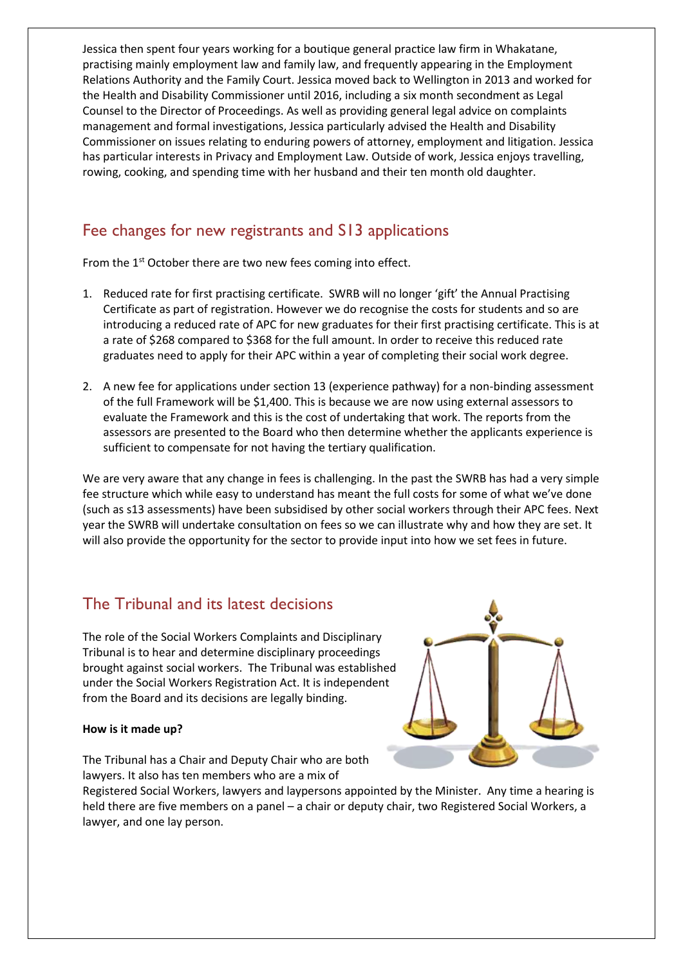Jessica then spent four years working for a boutique general practice law firm in Whakatane, practising mainly employment law and family law, and frequently appearing in the Employment Relations Authority and the Family Court. Jessica moved back to Wellington in 2013 and worked for the Health and Disability Commissioner until 2016, including a six month secondment as Legal Counsel to the Director of Proceedings. As well as providing general legal advice on complaints management and formal investigations, Jessica particularly advised the Health and Disability Commissioner on issues relating to enduring powers of attorney, employment and litigation. Jessica has particular interests in Privacy and Employment Law. Outside of work, Jessica enjoys travelling, rowing, cooking, and spending time with her husband and their ten month old daughter.

## Fee changes for new registrants and S13 applications

From the 1<sup>st</sup> October there are two new fees coming into effect.

- 1. Reduced rate for first practising certificate. SWRB will no longer 'gift' the Annual Practising Certificate as part of registration. However we do recognise the costs for students and so are introducing a reduced rate of APC for new graduates for their first practising certificate. This is at a rate of \$268 compared to \$368 for the full amount. In order to receive this reduced rate graduates need to apply for their APC within a year of completing their social work degree.
- 2. A new fee for applications under section 13 (experience pathway) for a non-binding assessment of the full Framework will be \$1,400. This is because we are now using external assessors to evaluate the Framework and this is the cost of undertaking that work. The reports from the assessors are presented to the Board who then determine whether the applicants experience is sufficient to compensate for not having the tertiary qualification.

We are very aware that any change in fees is challenging. In the past the SWRB has had a very simple fee structure which while easy to understand has meant the full costs for some of what we've done (such as s13 assessments) have been subsidised by other social workers through their APC fees. Next year the SWRB will undertake consultation on fees so we can illustrate why and how they are set. It will also provide the opportunity for the sector to provide input into how we set fees in future.

#### The Tribunal and its latest decisions

The role of the Social Workers Complaints and Disciplinary Tribunal is to hear and determine disciplinary proceedings brought against social workers. The Tribunal was established under the Social Workers Registration Act. It is independent from the Board and its decisions are legally binding.

#### **How is it made up?**

The Tribunal has a Chair and Deputy Chair who are both lawyers. It also has ten members who are a mix of



Registered Social Workers, lawyers and laypersons appointed by the Minister. Any time a hearing is held there are five members on a panel – a chair or deputy chair, two Registered Social Workers, a lawyer, and one lay person.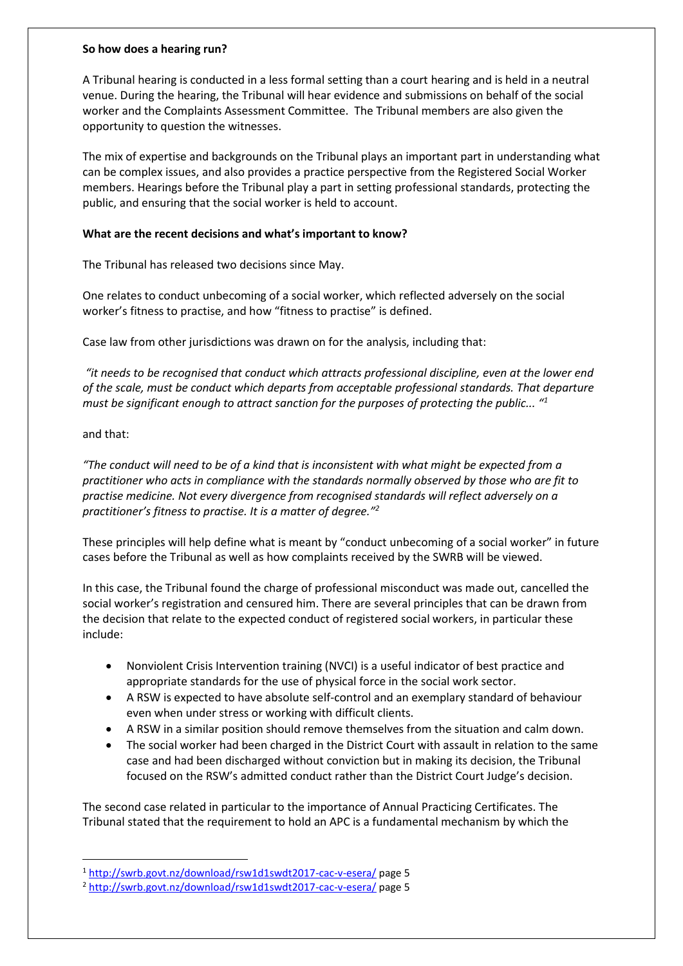#### **So how does a hearing run?**

A Tribunal hearing is conducted in a less formal setting than a court hearing and is held in a neutral venue. During the hearing, the Tribunal will hear evidence and submissions on behalf of the social worker and the Complaints Assessment Committee. The Tribunal members are also given the opportunity to question the witnesses.

The mix of expertise and backgrounds on the Tribunal plays an important part in understanding what can be complex issues, and also provides a practice perspective from the Registered Social Worker members. Hearings before the Tribunal play a part in setting professional standards, protecting the public, and ensuring that the social worker is held to account.

#### **What are the recent decisions and what's important to know?**

The Tribunal has released two decisions since May.

One relates to conduct unbecoming of a social worker, which reflected adversely on the social worker's fitness to practise, and how "fitness to practise" is defined.

Case law from other jurisdictions was drawn on for the analysis, including that:

*"it needs to be recognised that conduct which attracts professional discipline, even at the lower end of the scale, must be conduct which departs from acceptable professional standards. That departure must be significant enough to attract sanction for the purposes of protecting the public... "<sup>1</sup>*

#### and that:

1

*"The conduct will need to be of a kind that is inconsistent with what might be expected from a practitioner who acts in compliance with the standards normally observed by those who are fit to practise medicine. Not every divergence from recognised standards will reflect adversely on a practitioner's fitness to practise. It is a matter of degree."<sup>2</sup>*

These principles will help define what is meant by "conduct unbecoming of a social worker" in future cases before the Tribunal as well as how complaints received by the SWRB will be viewed.

In this case, the Tribunal found the charge of professional misconduct was made out, cancelled the social worker's registration and censured him. There are several principles that can be drawn from the decision that relate to the expected conduct of registered social workers, in particular these include:

- Nonviolent Crisis Intervention training (NVCI) is a useful indicator of best practice and appropriate standards for the use of physical force in the social work sector.
- A RSW is expected to have absolute self-control and an exemplary standard of behaviour even when under stress or working with difficult clients.
- A RSW in a similar position should remove themselves from the situation and calm down.
- The social worker had been charged in the District Court with assault in relation to the same case and had been discharged without conviction but in making its decision, the Tribunal focused on the RSW's admitted conduct rather than the District Court Judge's decision.

The second case related in particular to the importance of Annual Practicing Certificates. The Tribunal stated that the requirement to hold an APC is a fundamental mechanism by which the

<sup>1</sup> <http://swrb.govt.nz/download/rsw1d1swdt2017-cac-v-esera/> page 5

<sup>2</sup> <http://swrb.govt.nz/download/rsw1d1swdt2017-cac-v-esera/> page 5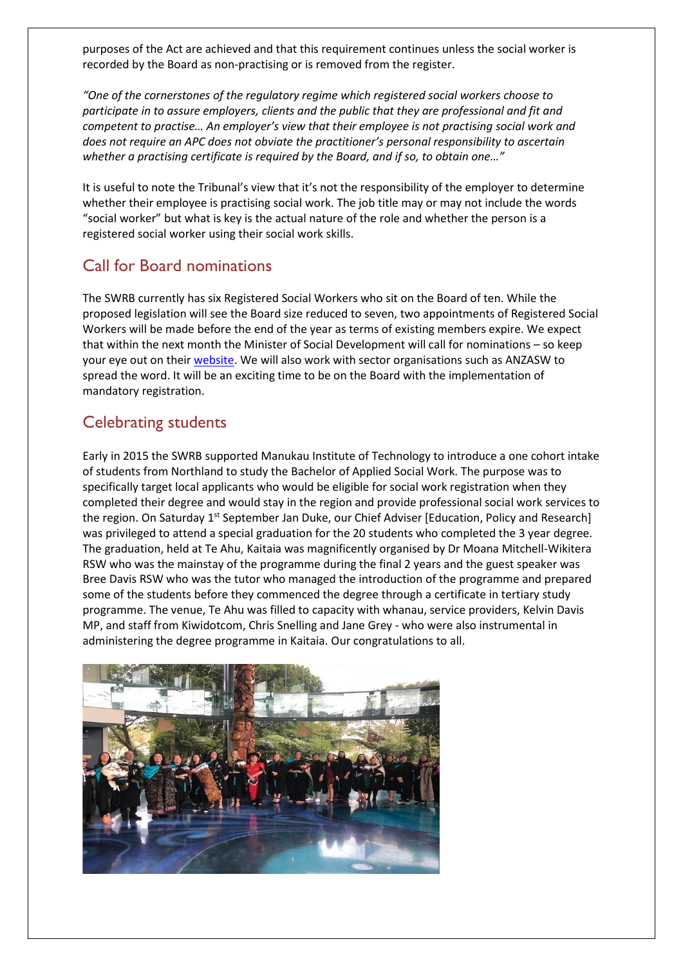purposes of the Act are achieved and that this requirement continues unless the social worker is recorded by the Board as non-practising or is removed from the register.

*"One of the cornerstones of the regulatory regime which registered social workers choose to participate in to assure employers, clients and the public that they are professional and fit and competent to practise... An employer's view that their employee is not practising social work and does not require an APC does not obviate the practitioner's personal responsibility to ascertain whether a practising certificate is required by the Board, and if so, to obtain one…"*

It is useful to note the Tribunal's view that it's not the responsibility of the employer to determine whether their employee is practising social work. The job title may or may not include the words "social worker" but what is key is the actual nature of the role and whether the person is a registered social worker using their social work skills.

## Call for Board nominations

The SWRB currently has six Registered Social Workers who sit on the Board of ten. While the proposed legislation will see the Board size reduced to seven, two appointments of Registered Social Workers will be made before the end of the year as terms of existing members expire. We expect that within the next month the Minister of Social Development will call for nominations – so keep your eye out on their [website.](http://www.msd.govt.nz/) We will also work with sector organisations such as ANZASW to spread the word. It will be an exciting time to be on the Board with the implementation of mandatory registration.

## Celebrating students

Early in 2015 the SWRB supported Manukau Institute of Technology to introduce a one cohort intake of students from Northland to study the Bachelor of Applied Social Work. The purpose was to specifically target local applicants who would be eligible for social work registration when they completed their degree and would stay in the region and provide professional social work services to the region. On Saturday 1<sup>st</sup> September Jan Duke, our Chief Adviser [Education, Policy and Research] was privileged to attend a special graduation for the 20 students who completed the 3 year degree. The graduation, held at Te Ahu, Kaitaia was magnificently organised by Dr Moana Mitchell-Wikitera RSW who was the mainstay of the programme during the final 2 years and the guest speaker was Bree Davis RSW who was the tutor who managed the introduction of the programme and prepared some of the students before they commenced the degree through a certificate in tertiary study programme. The venue, Te Ahu was filled to capacity with whanau, service providers, Kelvin Davis MP, and staff from Kiwidotcom, Chris Snelling and Jane Grey - who were also instrumental in administering the degree programme in Kaitaia. Our congratulations to all.